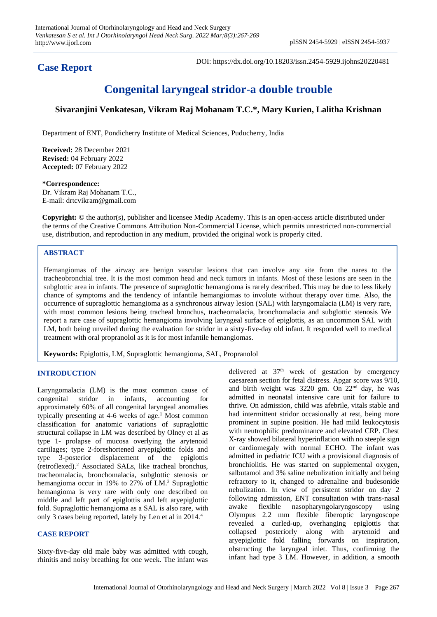## **Case Report**

DOI: https://dx.doi.org/10.18203/issn.2454-5929.ijohns20220481

# **Congenital laryngeal stridor-a double trouble**

## **Sivaranjini Venkatesan, Vikram Raj Mohanam T.C.\*, Mary Kurien, Lalitha Krishnan**

Department of ENT, Pondicherry Institute of Medical Sciences, Puducherry, India

**Received:** 28 December 2021 **Revised:** 04 February 2022 **Accepted:** 07 February 2022

### **\*Correspondence:**

Dr. Vikram Raj Mohanam T.C., E-mail: drtcvikram@gmail.com

**Copyright:** © the author(s), publisher and licensee Medip Academy. This is an open-access article distributed under the terms of the Creative Commons Attribution Non-Commercial License, which permits unrestricted non-commercial use, distribution, and reproduction in any medium, provided the original work is properly cited.

#### **ABSTRACT**

Hemangiomas of the airway are benign vascular lesions that can involve any site from the nares to the tracheobronchial tree. It is the most common head and neck tumors in infants. Most of these lesions are seen in the subglottic area in infants. The presence of supraglottic hemangioma is rarely described. This may be due to less likely chance of symptoms and the tendency of infantile hemangiomas to involute without therapy over time. Also, the occurrence of supraglottic hemangioma as a synchronous airway lesion (SAL) with laryngomalacia (LM) is very rare, with most common lesions being tracheal bronchus, tracheomalacia, bronchomalacia and subglottic stenosis We report a rare case of supraglottic hemangioma involving laryngeal surface of epiglottis, as an uncommon SAL with LM, both being unveiled during the evaluation for stridor in a sixty-five-day old infant. It responded well to medical treatment with oral propranolol as it is for most infantile hemangiomas.

**Keywords:** Epiglottis, LM, Supraglottic hemangioma, SAL, Propranolol

#### **INTRODUCTION**

Laryngomalacia (LM) is the most common cause of congenital stridor in infants, accounting for approximately 60% of all congenital laryngeal anomalies typically presenting at 4-6 weeks of age.<sup>1</sup> Most common classification for anatomic variations of supraglottic structural collapse in LM was described by Olney et al as type 1- prolapse of mucosa overlying the arytenoid cartilages; type 2-foreshortened aryepiglottic folds and type 3-posterior displacement of the epiglottis (retroflexed). <sup>2</sup> Associated SALs, like tracheal bronchus, tracheomalacia, bronchomalacia, subglottic stenosis or hemangioma occur in 19% to  $27\%$  of LM.<sup>3</sup> Supraglottic hemangioma is very rare with only one described on middle and left part of epiglottis and left aryepiglottic fold. Supraglottic hemangioma as a SAL is also rare, with only 3 cases being reported, lately by Len et al in 2014.<sup>4</sup>

#### **CASE REPORT**

Sixty-five-day old male baby was admitted with cough, rhinitis and noisy breathing for one week. The infant was delivered at 37<sup>th</sup> week of gestation by emergency caesarean section for fetal distress. Apgar score was 9/10, and birth weight was 3220 gm. On 22nd day, he was admitted in neonatal intensive care unit for failure to thrive. On admission, child was afebrile, vitals stable and had intermittent stridor occasionally at rest, being more prominent in supine position. He had mild leukocytosis with neutrophilic predominance and elevated CRP. Chest X-ray showed bilateral hyperinflation with no steeple sign or cardiomegaly with normal ECHO. The infant was admitted in pediatric ICU with a provisional diagnosis of bronchiolitis. He was started on supplemental oxygen, salbutamol and 3% saline nebulization initially and being refractory to it, changed to adrenaline and budesonide nebulization. In view of persistent stridor on day 2 following admission, ENT consultation with trans-nasal awake flexible nasopharyngolaryngoscopy using Olympus 2.2 mm flexible fiberoptic laryngoscope revealed a curled-up, overhanging epiglottis that collapsed posteriorly along with arytenoid and aryepiglottic fold falling forwards on inspiration, obstructing the laryngeal inlet. Thus, confirming the infant had type 3 LM. However, in addition, a smooth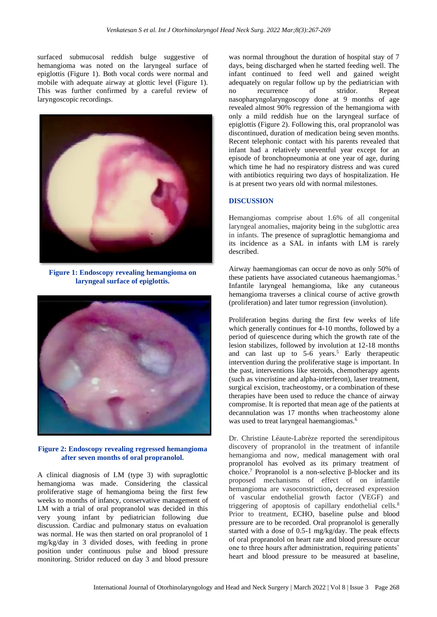surfaced submucosal reddish bulge suggestive of hemangioma was noted on the laryngeal surface of epiglottis (Figure 1). Both vocal cords were normal and mobile with adequate airway at glottic level (Figure 1). This was further confirmed by a careful review of laryngoscopic recordings.



**Figure 1: Endoscopy revealing hemangioma on laryngeal surface of epiglottis.**



**Figure 2: Endoscopy revealing regressed hemangioma after seven months of oral propranolol***.*

A clinical diagnosis of LM (type 3) with supraglottic hemangioma was made. Considering the classical proliferative stage of hemangioma being the first few weeks to months of infancy, conservative management of LM with a trial of oral propranolol was decided in this very young infant by pediatrician following due discussion. Cardiac and pulmonary status on evaluation was normal. He was then started on oral propranolol of 1 mg/kg/day in 3 divided doses, with feeding in prone position under continuous pulse and blood pressure monitoring. Stridor reduced on day 3 and blood pressure was normal throughout the duration of hospital stay of 7 days, being discharged when he started feeding well. The infant continued to feed well and gained weight adequately on regular follow up by the pediatrician with no recurrence of stridor. Repeat nasopharyngolaryngoscopy done at 9 months of age revealed almost 90% regression of the hemangioma with only a mild reddish hue on the laryngeal surface of epiglottis (Figure 2). Following this, oral propranolol was discontinued, duration of medication being seven months. Recent telephonic contact with his parents revealed that infant had a relatively uneventful year except for an episode of bronchopneumonia at one year of age, during which time he had no respiratory distress and was cured with antibiotics requiring two days of hospitalization. He is at present two years old with normal milestones.

#### **DISCUSSION**

Hemangiomas comprise about 1.6% of all congenital laryngeal anomalies, majority being in the subglottic area in infants. The presence of supraglottic hemangioma and its incidence as a SAL in infants with LM is rarely described.

Airway haemangiomas can occur de novo as only 50% of these patients have associated cutaneous haemangiomas.<sup>5</sup> Infantile laryngeal hemangioma, like any cutaneous hemangioma traverses a clinical course of active growth (proliferation) and later tumor regression (involution).

Proliferation begins during the first few weeks of life which generally continues for 4-10 months, followed by a period of quiescence during which the growth rate of the lesion stabilizes, followed by involution at 12-18 months and can last up to  $5-6$  years.<sup>5</sup> Early therapeutic intervention during the proliferative stage is important. In the past, interventions like steroids, chemotherapy agents (such as vincristine and alpha-interferon), laser treatment, surgical excision, tracheostomy, or a combination of these therapies have been used to reduce the chance of airway compromise. It is reported that mean age of the patients at decannulation was 17 months when tracheostomy alone was used to treat laryngeal haemangiomas.<sup>6</sup>

Dr. Christine Léaute-Labrèze reported the serendipitous discovery of propranolol in the treatment of infantile hemangioma and now, medical management with oral propranolol has evolved as its primary treatment of choice.<sup>7</sup> Propranolol is a non-selective β-blocker and its proposed mechanisms of effect of on infantile hemangioma are vasoconstriction**,** decreased expression of vascular endothelial growth factor (VEGF) and triggering of apoptosis of capillary endothelial cells.<sup>8</sup> Prior to treatment, ECHO, baseline pulse and blood pressure are to be recorded. Oral propranolol is generally started with a dose of 0.5-1 mg/kg/day. The peak effects of oral propranolol on heart rate and blood pressure occur one to three hours after administration, requiring patients' heart and blood pressure to be measured at baseline,